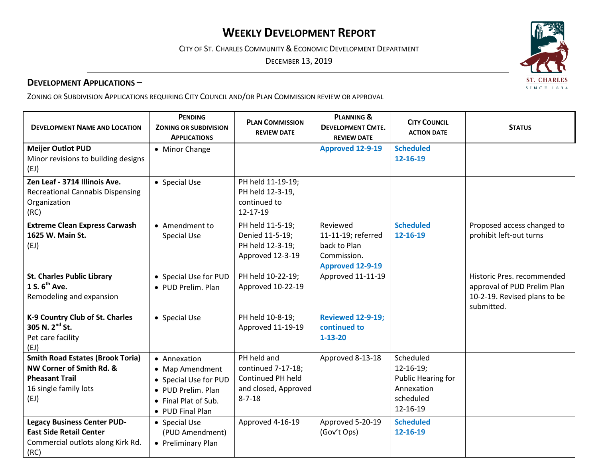# **WEEKLY DEVELOPMENT REPORT**

CITY OF ST. CHARLES COMMUNITY & ECONOMIC DEVELOPMENT DEPARTMENT

DECEMBER 13, 2019

#### **DEVELOPMENT APPLICATIONS –**

ZONING OR SUBDIVISION APPLICATIONS REQUIRING CITY COUNCIL AND/OR PLAN COMMISSION REVIEW OR APPROVAL

| <b>DEVELOPMENT NAME AND LOCATION</b>                                                                                          | <b>PENDING</b><br><b>ZONING OR SUBDIVISION</b><br><b>APPLICATIONS</b>                                                      | <b>PLAN COMMISSION</b><br><b>REVIEW DATE</b>                                                   | <b>PLANNING &amp;</b><br><b>DEVELOPMENT CMTE.</b><br><b>REVIEW DATE</b>                  | <b>CITY COUNCIL</b><br><b>ACTION DATE</b>                                                  | <b>STATUS</b>                                                                                           |
|-------------------------------------------------------------------------------------------------------------------------------|----------------------------------------------------------------------------------------------------------------------------|------------------------------------------------------------------------------------------------|------------------------------------------------------------------------------------------|--------------------------------------------------------------------------------------------|---------------------------------------------------------------------------------------------------------|
| <b>Meijer Outlot PUD</b><br>Minor revisions to building designs<br>(EJ)                                                       | • Minor Change                                                                                                             |                                                                                                | <b>Approved 12-9-19</b>                                                                  | <b>Scheduled</b><br>12-16-19                                                               |                                                                                                         |
| Zen Leaf - 3714 Illinois Ave.<br><b>Recreational Cannabis Dispensing</b><br>Organization<br>(RC)                              | • Special Use                                                                                                              | PH held 11-19-19;<br>PH held 12-3-19,<br>continued to<br>12-17-19                              |                                                                                          |                                                                                            |                                                                                                         |
| <b>Extreme Clean Express Carwash</b><br>1625 W. Main St.<br>(EJ)                                                              | • Amendment to<br><b>Special Use</b>                                                                                       | PH held 11-5-19;<br>Denied 11-5-19;<br>PH held 12-3-19;<br>Approved 12-3-19                    | Reviewed<br>11-11-19; referred<br>back to Plan<br>Commission.<br><b>Approved 12-9-19</b> | <b>Scheduled</b><br>12-16-19                                                               | Proposed access changed to<br>prohibit left-out turns                                                   |
| <b>St. Charles Public Library</b><br>1 S. 6 <sup>th</sup> Ave.<br>Remodeling and expansion                                    | • Special Use for PUD<br>• PUD Prelim. Plan                                                                                | PH held 10-22-19;<br>Approved 10-22-19                                                         | Approved 11-11-19                                                                        |                                                                                            | Historic Pres. recommended<br>approval of PUD Prelim Plan<br>10-2-19. Revised plans to be<br>submitted. |
| K-9 Country Club of St. Charles<br>305 N. 2 <sup>nd</sup> St.<br>Pet care facility<br>(EJ)                                    | • Special Use                                                                                                              | PH held 10-8-19;<br>Approved 11-19-19                                                          | <b>Reviewed 12-9-19;</b><br>continued to<br>$1 - 13 - 20$                                |                                                                                            |                                                                                                         |
| <b>Smith Road Estates (Brook Toria)</b><br>NW Corner of Smith Rd. &<br><b>Pheasant Trail</b><br>16 single family lots<br>(EJ) | • Annexation<br>• Map Amendment<br>• Special Use for PUD<br>• PUD Prelim. Plan<br>• Final Plat of Sub.<br>• PUD Final Plan | PH held and<br>continued 7-17-18;<br>Continued PH held<br>and closed, Approved<br>$8 - 7 - 18$ | Approved 8-13-18                                                                         | Scheduled<br>$12 - 16 - 19$ ;<br>Public Hearing for<br>Annexation<br>scheduled<br>12-16-19 |                                                                                                         |
| <b>Legacy Business Center PUD-</b><br><b>East Side Retail Center</b><br>Commercial outlots along Kirk Rd.<br>(RC)             | • Special Use<br>(PUD Amendment)<br>• Preliminary Plan                                                                     | Approved 4-16-19                                                                               | Approved 5-20-19<br>(Gov't Ops)                                                          | <b>Scheduled</b><br>12-16-19                                                               |                                                                                                         |

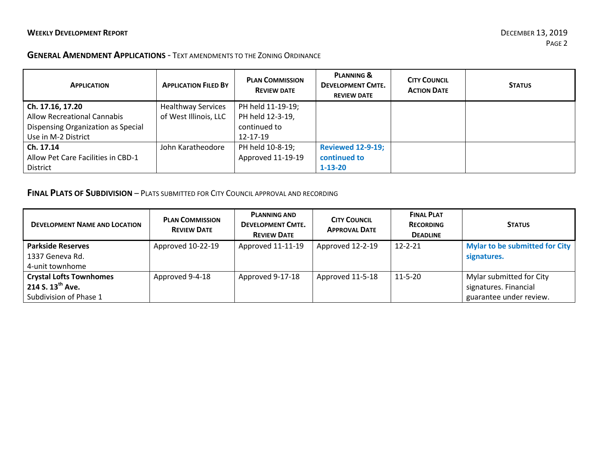$\mathcal{L}$ 

#### **GENERAL AMENDMENT APPLICATIONS** - TEXT AMENDMENTS TO THE ZONING ORDINANCE

| <b>APPLICATION</b>                 | <b>APPLICATION FILED BY</b> | <b>PLAN COMMISSION</b><br><b>REVIEW DATE</b> | <b>PLANNING &amp;</b><br><b>DEVELOPMENT CMTE.</b><br><b>REVIEW DATE</b> | <b>CITY COUNCIL</b><br><b>ACTION DATE</b> | <b>STATUS</b> |
|------------------------------------|-----------------------------|----------------------------------------------|-------------------------------------------------------------------------|-------------------------------------------|---------------|
| $ $ Ch. 17.16, 17.20               | <b>Healthway Services</b>   | PH held 11-19-19;                            |                                                                         |                                           |               |
| <b>Allow Recreational Cannabis</b> | of West Illinois, LLC       | PH held 12-3-19,                             |                                                                         |                                           |               |
| Dispensing Organization as Special |                             | continued to                                 |                                                                         |                                           |               |
| Use in M-2 District                |                             | 12-17-19                                     |                                                                         |                                           |               |
| $ $ Ch. 17.14                      | John Karatheodore           | PH held 10-8-19;                             | <b>Reviewed 12-9-19;</b>                                                |                                           |               |
| Allow Pet Care Facilities in CBD-1 |                             | Approved 11-19-19                            | continued to                                                            |                                           |               |
| District                           |                             |                                              | $1 - 13 - 20$                                                           |                                           |               |

## **FINAL PLATS OF SUBDIVISION** – PLATS SUBMITTED FOR CITY COUNCIL APPROVAL AND RECORDING

| <b>DEVELOPMENT NAME AND LOCATION</b> | <b>PLAN COMMISSION</b><br><b>REVIEW DATE</b> | <b>PLANNING AND</b><br><b>DEVELOPMENT CMTE.</b><br><b>REVIEW DATE</b> | <b>CITY COUNCIL</b><br><b>APPROVAL DATE</b> | <b>FINAL PLAT</b><br><b>RECORDING</b><br><b>DEADLINE</b> | <b>STATUS</b>                  |
|--------------------------------------|----------------------------------------------|-----------------------------------------------------------------------|---------------------------------------------|----------------------------------------------------------|--------------------------------|
| <b>Parkside Reserves</b>             | Approved 10-22-19                            | Approved 11-11-19                                                     | Approved 12-2-19                            | $12 - 2 - 21$                                            | Mylar to be submitted for City |
| 1337 Geneva Rd.                      |                                              |                                                                       |                                             |                                                          | signatures.                    |
| 4-unit townhome                      |                                              |                                                                       |                                             |                                                          |                                |
| <b>Crystal Lofts Townhomes</b>       | Approved 9-4-18                              | Approved 9-17-18                                                      | Approved 11-5-18                            | $11 - 5 - 20$                                            | Mylar submitted for City       |
| 214 S. $13^{th}$ Ave.                |                                              |                                                                       |                                             |                                                          | signatures. Financial          |
| Subdivision of Phase 1               |                                              |                                                                       |                                             |                                                          | guarantee under review.        |